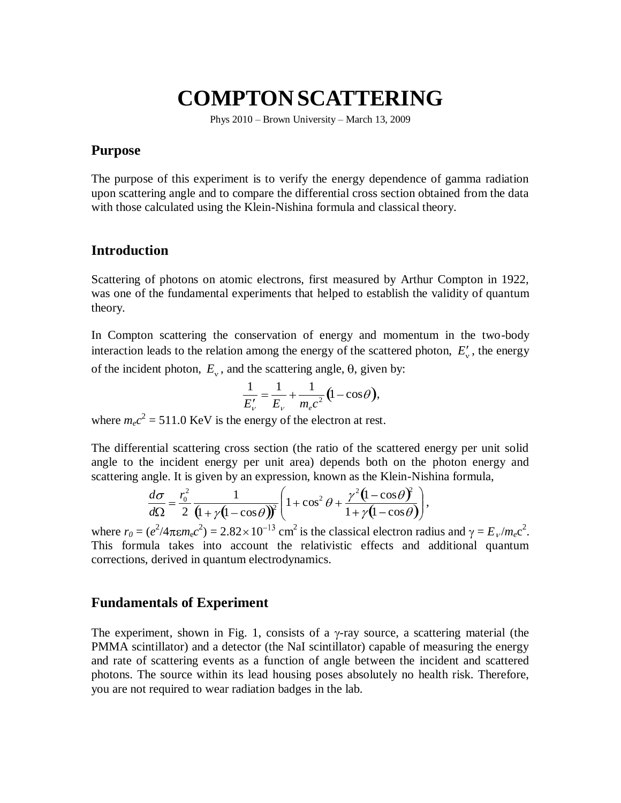# **COMPTON SCATTERING**

Phys 2010 – Brown University – March 13, 2009

### **Purpose**

The purpose of this experiment is to verify the energy dependence of gamma radiation upon scattering angle and to compare the differential cross section obtained from the data with those calculated using the Klein-Nishina formula and classical theory.

### **Introduction**

Scattering of photons on atomic electrons, first measured by Arthur Compton in 1922, was one of the fundamental experiments that helped to establish the validity of quantum theory.

In Compton scattering the conservation of energy and momentum in the two-body interaction leads to the relation among the energy of the scattered photon,  $E'_{v}$ , the energy of the incident photon,  $E_v$ , and the scattering angle,  $\theta$ , given by:

$$
\frac{1}{E'_{\nu}} = \frac{1}{E_{\nu}} + \frac{1}{m_{e}c^{2}} (1 - \cos \theta),
$$

where  $m_e c^2 = 511.0$  KeV is the energy of the electron at rest.

The differential scattering cross section (the ratio of the scattered energy per unit solid angle to the incident energy per unit area) depends both on the photon energy and scattering angle. It is given by an expression, known as the Klein-Nishina formula,

,

$$
\frac{d\sigma}{d\Omega} = \frac{r_0^2}{2} \frac{1}{(1 + \gamma(1 - \cos\theta))^2} \left(1 + \cos^2\theta + \frac{\gamma^2(1 - \cos\theta)^2}{1 + \gamma(1 - \cos\theta)}\right)
$$

where  $r_0 = (e^2/4\pi \epsilon m_e c^2) = 2.82 \times 10^{-13}$  cm<sup>2</sup> is the classical electron radius and  $\gamma = E_v/m_e c^2$ . This formula takes into account the relativistic effects and additional quantum corrections, derived in quantum electrodynamics.

#### **Fundamentals of Experiment**

The experiment, shown in Fig. 1, consists of a  $\gamma$ -ray source, a scattering material (the PMMA scintillator) and a detector (the NaI scintillator) capable of measuring the energy and rate of scattering events as a function of angle between the incident and scattered photons. The source within its lead housing poses absolutely no health risk. Therefore, you are not required to wear radiation badges in the lab.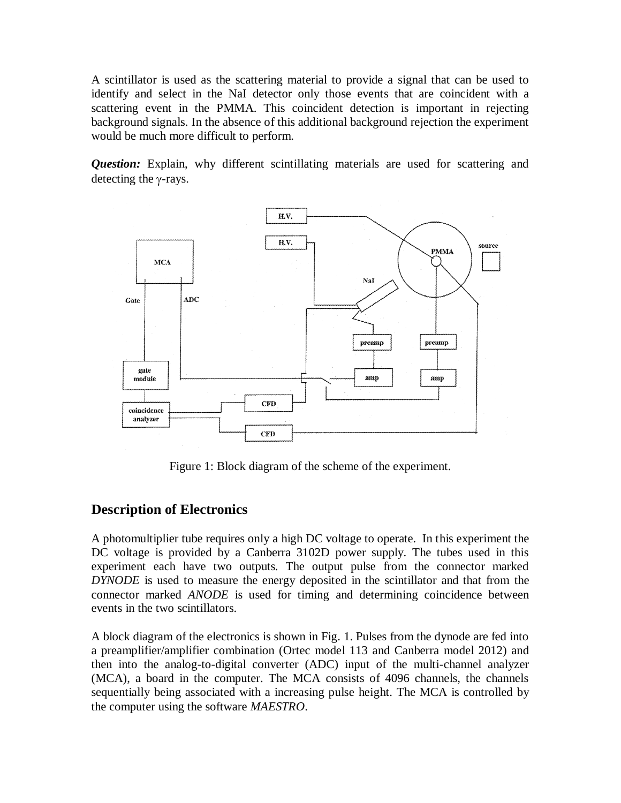A scintillator is used as the scattering material to provide a signal that can be used to identify and select in the NaI detector only those events that are coincident with a scattering event in the PMMA. This coincident detection is important in rejecting background signals. In the absence of this additional background rejection the experiment would be much more difficult to perform.

*Question:* Explain, why different scintillating materials are used for scattering and detecting the  $\gamma$ -rays.



Figure 1: Block diagram of the scheme of the experiment.

## **Description of Electronics**

A photomultiplier tube requires only a high DC voltage to operate. In this experiment the DC voltage is provided by a Canberra 3102D power supply. The tubes used in this experiment each have two outputs. The output pulse from the connector marked *DYNODE* is used to measure the energy deposited in the scintillator and that from the connector marked *ANODE* is used for timing and determining coincidence between events in the two scintillators.

A block diagram of the electronics is shown in Fig. 1. Pulses from the dynode are fed into a preamplifier/amplifier combination (Ortec model 113 and Canberra model 2012) and then into the analog-to-digital converter (ADC) input of the multi-channel analyzer (MCA), a board in the computer. The MCA consists of 4096 channels, the channels sequentially being associated with a increasing pulse height. The MCA is controlled by the computer using the software *MAESTRO*.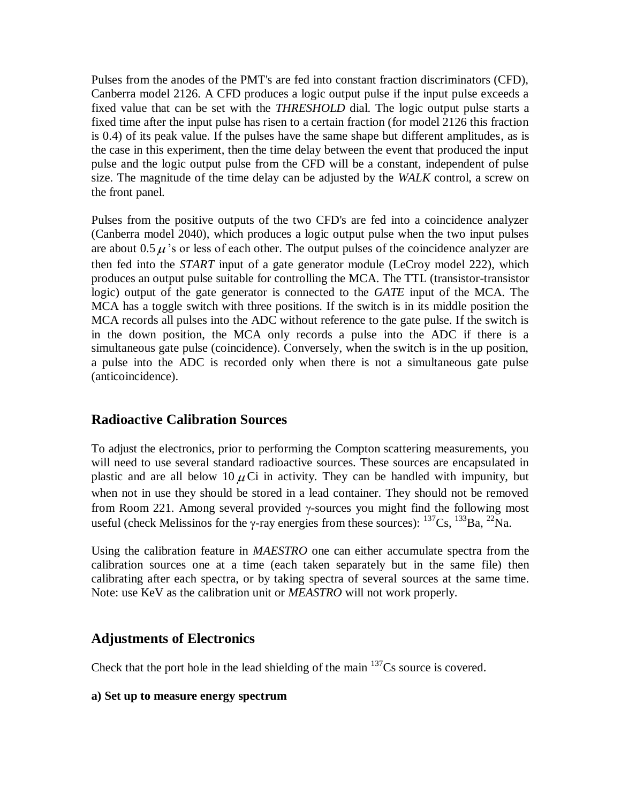Pulses from the anodes of the PMT's are fed into constant fraction discriminators (CFD), Canberra model 2126. A CFD produces a logic output pulse if the input pulse exceeds a fixed value that can be set with the *THRESHOLD* dial. The logic output pulse starts a fixed time after the input pulse has risen to a certain fraction (for model 2126 this fraction is 0.4) of its peak value. If the pulses have the same shape but different amplitudes, as is the case in this experiment, then the time delay between the event that produced the input pulse and the logic output pulse from the CFD will be a constant, independent of pulse size. The magnitude of the time delay can be adjusted by the *WALK* control, a screw on the front panel.

Pulses from the positive outputs of the two CFD's are fed into a coincidence analyzer (Canberra model 2040), which produces a logic output pulse when the two input pulses are about 0.5  $\mu$ 's or less of each other. The output pulses of the coincidence analyzer are then fed into the *START* input of a gate generator module (LeCroy model 222), which produces an output pulse suitable for controlling the MCA. The TTL (transistor-transistor logic) output of the gate generator is connected to the *GATE* input of the MCA. The MCA has a toggle switch with three positions. If the switch is in its middle position the MCA records all pulses into the ADC without reference to the gate pulse. If the switch is in the down position, the MCA only records a pulse into the ADC if there is a simultaneous gate pulse (coincidence). Conversely, when the switch is in the up position, a pulse into the ADC is recorded only when there is not a simultaneous gate pulse (anticoincidence).

## **Radioactive Calibration Sources**

To adjust the electronics, prior to performing the Compton scattering measurements, you will need to use several standard radioactive sources. These sources are encapsulated in plastic and are all below 10  $\mu$ Ci in activity. They can be handled with impunity, but when not in use they should be stored in a lead container. They should not be removed from Room 221. Among several provided  $\gamma$ -sources you might find the following most useful (check Melissinos for the  $\gamma$ -ray energies from these sources):  $^{137}Cs$ ,  $^{133}Ba$ ,  $^{22}Na$ .

Using the calibration feature in *MAESTRO* one can either accumulate spectra from the calibration sources one at a time (each taken separately but in the same file) then calibrating after each spectra, or by taking spectra of several sources at the same time. Note: use KeV as the calibration unit or *MEASTRO* will not work properly.

### **Adjustments of Electronics**

Check that the port hole in the lead shielding of the main  $137Cs$  source is covered.

### **a) Set up to measure energy spectrum**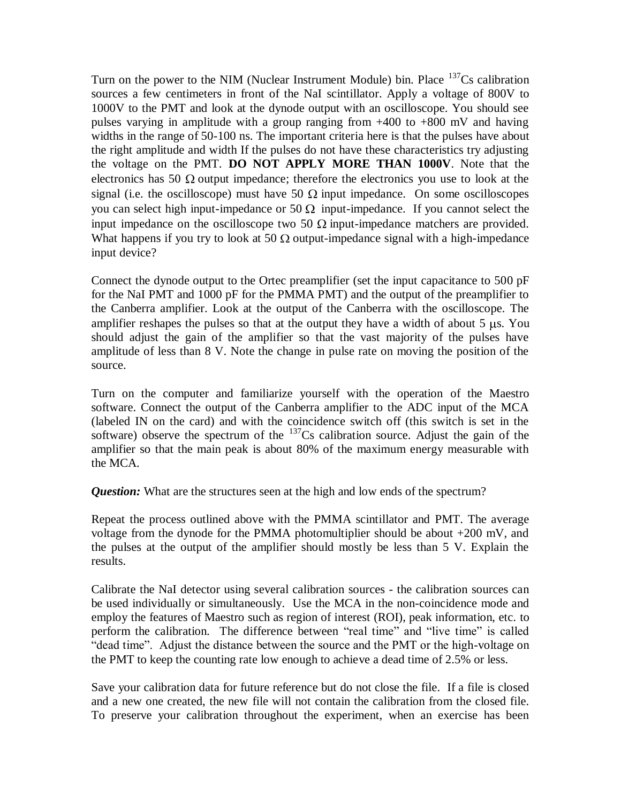Turn on the power to the NIM (Nuclear Instrument Module) bin. Place  $137Cs$  calibration sources a few centimeters in front of the NaI scintillator. Apply a voltage of 800V to 1000V to the PMT and look at the dynode output with an oscilloscope. You should see pulses varying in amplitude with a group ranging from +400 to +800 mV and having widths in the range of 50-100 ns. The important criteria here is that the pulses have about the right amplitude and width If the pulses do not have these characteristics try adjusting the voltage on the PMT. **DO NOT APPLY MORE THAN 1000V**. Note that the electronics has 50  $\Omega$  output impedance; therefore the electronics you use to look at the signal (i.e. the oscilloscope) must have 50  $\Omega$  input impedance. On some oscilloscopes you can select high input-impedance or 50  $\Omega$  input-impedance. If you cannot select the input impedance on the oscilloscope two 50  $\Omega$  input-impedance matchers are provided. What happens if you try to look at 50  $\Omega$  output-impedance signal with a high-impedance input device?

Connect the dynode output to the Ortec preamplifier (set the input capacitance to 500 pF for the NaI PMT and 1000 pF for the PMMA PMT) and the output of the preamplifier to the Canberra amplifier. Look at the output of the Canberra with the oscilloscope. The amplifier reshapes the pulses so that at the output they have a width of about  $5 \mu s$ . You should adjust the gain of the amplifier so that the vast majority of the pulses have amplitude of less than 8 V. Note the change in pulse rate on moving the position of the source.

Turn on the computer and familiarize yourself with the operation of the Maestro software. Connect the output of the Canberra amplifier to the ADC input of the MCA (labeled IN on the card) and with the coincidence switch off (this switch is set in the software) observe the spectrum of the  $137$ Cs calibration source. Adjust the gain of the amplifier so that the main peak is about 80% of the maximum energy measurable with the MCA.

*Question:* What are the structures seen at the high and low ends of the spectrum?

Repeat the process outlined above with the PMMA scintillator and PMT. The average voltage from the dynode for the PMMA photomultiplier should be about +200 mV, and the pulses at the output of the amplifier should mostly be less than 5 V. Explain the results.

Calibrate the NaI detector using several calibration sources - the calibration sources can be used individually or simultaneously. Use the MCA in the non-coincidence mode and employ the features of Maestro such as region of interest (ROI), peak information, etc. to perform the calibration. The difference between "real time" and "live time" is called "dead time". Adjust the distance between the source and the PMT or the high-voltage on the PMT to keep the counting rate low enough to achieve a dead time of 2.5% or less.

Save your calibration data for future reference but do not close the file. If a file is closed and a new one created, the new file will not contain the calibration from the closed file. To preserve your calibration throughout the experiment, when an exercise has been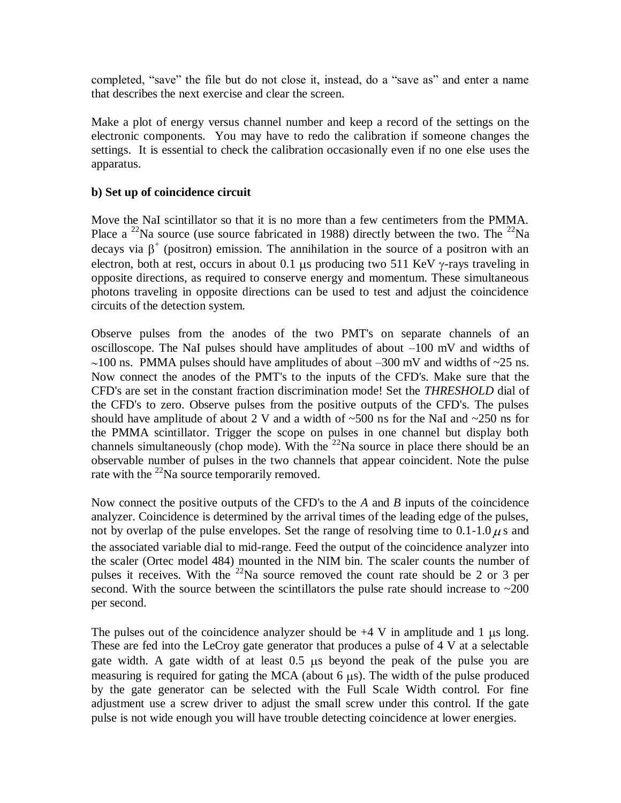completed, "save" the file but do not close it, instead, do a "save as" and enter a name that describes the next exercise and clear the screen.

Make a plot of energy versus channel number and keep a record of the settings on the electronic components. You may have to redo the calibration if someone changes the settings. It is essential to check the calibration occasionally even if no one else uses the apparatus.

### **b) Set up of coincidence circuit**

Move the NaI scintillator so that it is no more than a few centimeters from the PMMA. Place a <sup>22</sup>Na source (use source fabricated in 1988) directly between the two. The <sup>22</sup>Na decays via  $\beta^+$  (positron) emission. The annihilation in the source of a positron with an electron, both at rest, occurs in about 0.1 us producing two 511 KeV  $\gamma$ -rays traveling in opposite directions, as required to conserve energy and momentum. These simultaneous photons traveling in opposite directions can be used to test and adjust the coincidence circuits of the detection system.

Observe pulses from the anodes of the two PMT's on separate channels of an oscilloscope. The NaI pulses should have amplitudes of about –100 mV and widths of  $\sim$ 100 ns. PMMA pulses should have amplitudes of about –300 mV and widths of  $\sim$ 25 ns. Now connect the anodes of the PMT's to the inputs of the CFD's. Make sure that the CFD's are set in the constant fraction discrimination mode! Set the *THRESHOLD* dial of the CFD's to zero. Observe pulses from the positive outputs of the CFD's. The pulses should have amplitude of about 2 V and a width of  $\sim$ 500 ns for the NaI and  $\sim$ 250 ns for the PMMA scintillator. Trigger the scope on pulses in one channel but display both channels simultaneously (chop mode). With the  $^{22}$ Na source in place there should be an observable number of pulses in the two channels that appear coincident. Note the pulse rate with the  $^{22}$ Na source temporarily removed.

Now connect the positive outputs of the CFD's to the *A* and *B* inputs of the coincidence analyzer. Coincidence is determined by the arrival times of the leading edge of the pulses, not by overlap of the pulse envelopes. Set the range of resolving time to  $0.1$ -1.0  $\mu$  s and the associated variable dial to mid-range. Feed the output of the coincidence analyzer into the scaler (Ortec model 484) mounted in the NIM bin. The scaler counts the number of pulses it receives. With the <sup>22</sup>Na source removed the count rate should be 2 or 3 per second. With the source between the scintillators the pulse rate should increase to  $\sim$ 200 per second.

The pulses out of the coincidence analyzer should be  $+4$  V in amplitude and 1  $\mu$ s long. These are fed into the LeCroy gate generator that produces a pulse of 4 V at a selectable gate width. A gate width of at least  $0.5 \mu s$  beyond the peak of the pulse you are measuring is required for gating the MCA (about  $6 \mu s$ ). The width of the pulse produced by the gate generator can be selected with the Full Scale Width control. For fine adjustment use a screw driver to adjust the small screw under this control. If the gate pulse is not wide enough you will have trouble detecting coincidence at lower energies.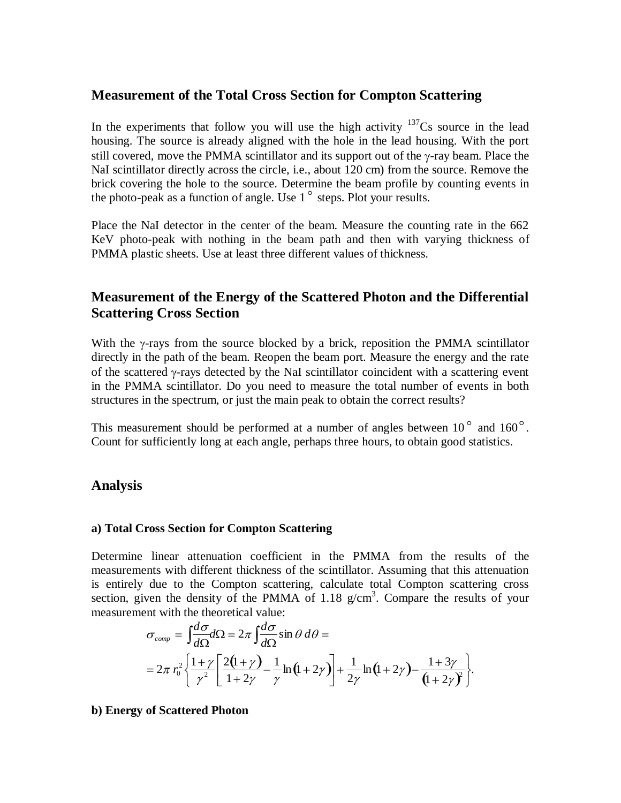### **Measurement of the Total Cross Section for Compton Scattering**

In the experiments that follow you will use the high activity  $137<sup>37</sup>Cs$  source in the lead housing. The source is already aligned with the hole in the lead housing. With the port still covered, move the PMMA scintillator and its support out of the  $\gamma$ -ray beam. Place the NaI scintillator directly across the circle, i.e., about 120 cm) from the source. Remove the brick covering the hole to the source. Determine the beam profile by counting events in the photo-peak as a function of angle. Use  $1^\circ$  steps. Plot your results.

Place the NaI detector in the center of the beam. Measure the counting rate in the 662 KeV photo-peak with nothing in the beam path and then with varying thickness of PMMA plastic sheets. Use at least three different values of thickness.

### **Measurement of the Energy of the Scattered Photon and the Differential Scattering Cross Section**

With the  $\gamma$ -rays from the source blocked by a brick, reposition the PMMA scintillator directly in the path of the beam. Reopen the beam port. Measure the energy and the rate of the scattered  $\gamma$ -rays detected by the NaI scintillator coincident with a scattering event in the PMMA scintillator. Do you need to measure the total number of events in both structures in the spectrum, or just the main peak to obtain the correct results?

This measurement should be performed at a number of angles between  $10^{\circ}$  and  $160^{\circ}$ . Count for sufficiently long at each angle, perhaps three hours, to obtain good statistics.

### **Analysis**

### **a) Total Cross Section for Compton Scattering**

Determine linear attenuation coefficient in the PMMA from the results of the measurements with different thickness of the scintillator. Assuming that this attenuation is entirely due to the Compton scattering, calculate total Compton scattering cross section, given the density of the PMMA of  $1.18 \text{ g/cm}^3$ . Compare the results of your measurement with the theoretical value:

$$
\sigma_{comp} = \int \frac{d\sigma}{d\Omega} d\Omega = 2\pi \int \frac{d\sigma}{d\Omega} \sin \theta \, d\theta =
$$
  
=  $2\pi r_0^2 \left\{ \frac{1+\gamma}{\gamma^2} \left[ \frac{2(1+\gamma)}{1+2\gamma} - \frac{1}{\gamma} \ln(1+2\gamma) \right] + \frac{1}{2\gamma} \ln(1+2\gamma) - \frac{1+3\gamma}{(1+2\gamma)^2} \right\}.$ 

### **b) Energy of Scattered Photon**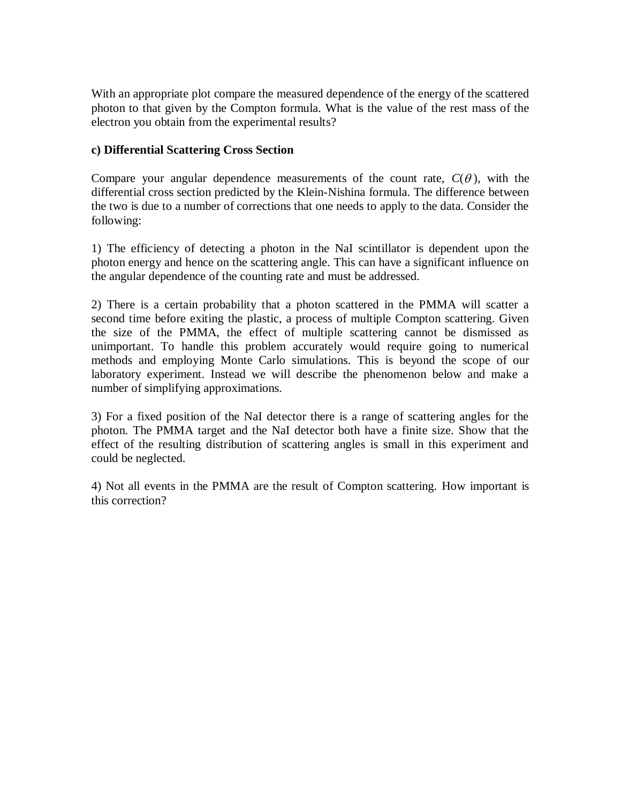With an appropriate plot compare the measured dependence of the energy of the scattered photon to that given by the Compton formula. What is the value of the rest mass of the electron you obtain from the experimental results?

### **c) Differential Scattering Cross Section**

Compare your angular dependence measurements of the count rate,  $C(\theta)$ , with the differential cross section predicted by the Klein-Nishina formula. The difference between the two is due to a number of corrections that one needs to apply to the data. Consider the following:

1) The efficiency of detecting a photon in the NaI scintillator is dependent upon the photon energy and hence on the scattering angle. This can have a significant influence on the angular dependence of the counting rate and must be addressed.

2) There is a certain probability that a photon scattered in the PMMA will scatter a second time before exiting the plastic, a process of multiple Compton scattering. Given the size of the PMMA, the effect of multiple scattering cannot be dismissed as unimportant. To handle this problem accurately would require going to numerical methods and employing Monte Carlo simulations. This is beyond the scope of our laboratory experiment. Instead we will describe the phenomenon below and make a number of simplifying approximations.

3) For a fixed position of the NaI detector there is a range of scattering angles for the photon. The PMMA target and the NaI detector both have a finite size. Show that the effect of the resulting distribution of scattering angles is small in this experiment and could be neglected.

4) Not all events in the PMMA are the result of Compton scattering. How important is this correction?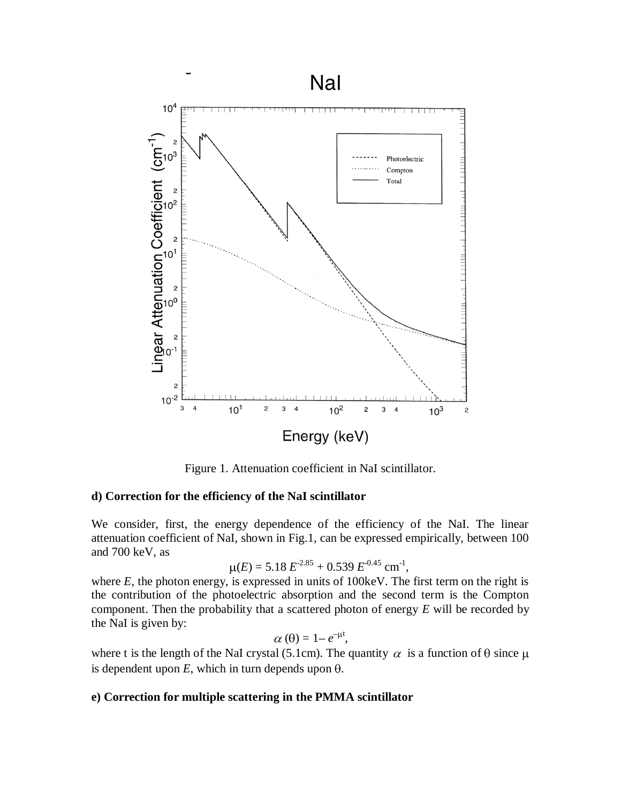

Figure 1. Attenuation coefficient in NaI scintillator.

#### **d) Correction for the efficiency of the NaI scintillator**

We consider, first, the energy dependence of the efficiency of the NaI. The linear attenuation coefficient of NaI, shown in Fig.1, can be expressed empirically, between 100 and 700 keV, as

$$
\mu(E) = 5.18 E^{2.85} + 0.539 E^{0.45} \text{ cm}^{-1},
$$

where  $E$ , the photon energy, is expressed in units of 100 keV. The first term on the right is the contribution of the photoelectric absorption and the second term is the Compton component. Then the probability that a scattered photon of energy *E* will be recorded by the NaI is given by:

$$
\alpha(\theta)=1-e^{-\mu t},
$$

where t is the length of the NaI crystal (5.1cm). The quantity  $\alpha$  is a function of  $\theta$  since  $\mu$ is dependent upon  $E$ , which in turn depends upon  $\theta$ .

### **e) Correction for multiple scattering in the PMMA scintillator**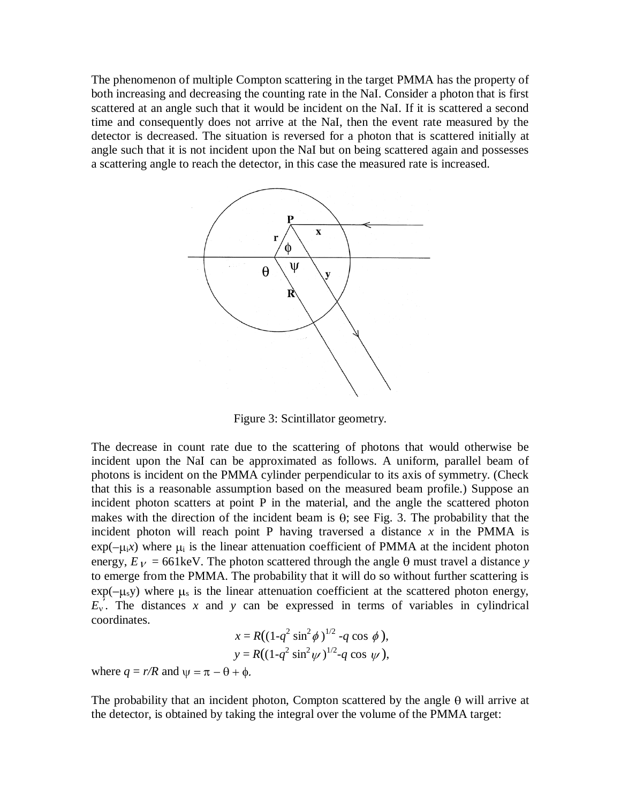The phenomenon of multiple Compton scattering in the target PMMA has the property of both increasing and decreasing the counting rate in the NaI. Consider a photon that is first scattered at an angle such that it would be incident on the NaI. If it is scattered a second time and consequently does not arrive at the NaI, then the event rate measured by the detector is decreased. The situation is reversed for a photon that is scattered initially at angle such that it is not incident upon the NaI but on being scattered again and possesses a scattering angle to reach the detector, in this case the measured rate is increased.



Figure 3: Scintillator geometry.

The decrease in count rate due to the scattering of photons that would otherwise be incident upon the NaI can be approximated as follows. A uniform, parallel beam of photons is incident on the PMMA cylinder perpendicular to its axis of symmetry. (Check that this is a reasonable assumption based on the measured beam profile.) Suppose an incident photon scatters at point P in the material, and the angle the scattered photon makes with the direction of the incident beam is  $\theta$ ; see Fig. 3. The probability that the incident photon will reach point P having traversed a distance  $x$  in the PMMA is  $exp(-\mu_i x)$  where  $\mu_i$  is the linear attenuation coefficient of PMMA at the incident photon energy,  $E_V = 661 \text{keV}$ . The photon scattered through the angle  $\theta$  must travel a distance *y* to emerge from the PMMA. The probability that it will do so without further scattering is  $exp(-\mu_s y)$  where  $\mu_s$  is the linear attenuation coefficient at the scattered photon energy,  $E_y$ . The distances *x* and *y* can be expressed in terms of variables in cylindrical coordinates.

$$
x = R((1-q^2 \sin^2 \phi)^{1/2} - q \cos \phi),
$$
  
\n
$$
y = R((1-q^2 \sin^2 \psi)^{1/2} - q \cos \psi),
$$

where  $q = r/R$  and  $\psi = \pi - \theta + \phi$ .

The probability that an incident photon, Compton scattered by the angle  $\theta$  will arrive at the detector, is obtained by taking the integral over the volume of the PMMA target: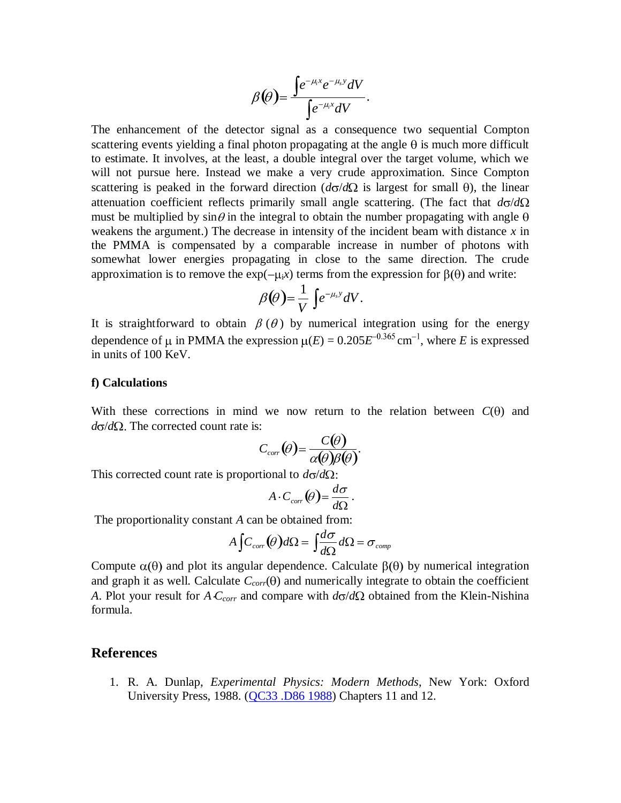$$
\beta(\theta) = \frac{\int e^{-\mu_i x} e^{-\mu_s y} dV}{\int e^{-\mu_i x} dV}.
$$

The enhancement of the detector signal as a consequence two sequential Compton scattering events yielding a final photon propagating at the angle  $\theta$  is much more difficult to estimate. It involves, at the least, a double integral over the target volume, which we will not pursue here. Instead we make a very crude approximation. Since Compton scattering is peaked in the forward direction  $(d\sigma/d\Omega)$  is largest for small  $\theta$ ), the linear attenuation coefficient reflects primarily small angle scattering. (The fact that  $d\sigma/d\Omega$ must be multiplied by  $\sin \theta$  in the integral to obtain the number propagating with angle  $\theta$ weakens the argument.) The decrease in intensity of the incident beam with distance *x* in the PMMA is compensated by a comparable increase in number of photons with somewhat lower energies propagating in close to the same direction. The crude approximation is to remove the  $\exp(-\mu_i x)$  terms from the expression for  $\beta(\theta)$  and write:

$$
\beta(\theta) = \frac{1}{V} \int e^{-\mu_s y} dV.
$$

It is straightforward to obtain  $\beta(\theta)$  by numerical integration using for the energy dependence of  $\mu$  in PMMA the expression  $\mu(E) = 0.205E^{-0.365}$  cm<sup>-1</sup>, where *E* is expressed in units of 100 KeV.

#### **f) Calculations**

With these corrections in mind we now return to the relation between  $C(\theta)$  and  $d\sigma/d\Omega$ . The corrected count rate is:

$$
C_{corr}(\theta) = \frac{C(\theta)}{\alpha(\theta)\beta(\theta)}.
$$

This corrected count rate is proportional to  $d\sigma/d\Omega$ :

$$
A\cdot C_{corr}(\theta) = \frac{d\sigma}{d\Omega}.
$$

The proportionality constant *A* can be obtained from:

$$
A \int C_{corr}(\theta) d\Omega = \int \frac{d\sigma}{d\Omega} d\Omega = \sigma_{comp}
$$

Compute  $\alpha(\theta)$  and plot its angular dependence. Calculate  $\beta(\theta)$  by numerical integration and graph it as well. Calculate  $C_{corr}(\theta)$  and numerically integrate to obtain the coefficient *A*. Plot your result for *A*  $C_{corr}$  and compare with  $d\sigma/d\Omega$  obtained from the Klein-Nishina formula.

#### **References**

1. R. A. Dunlap, *Experimental Physics: Modern Methods*, New York: Oxford University Press, 1988. [\(QC33 .D86 1988\)](http://josiah.brown.edu/search/cQC33+.D86+1988/cqc+++33+d86+1988/-3,-1,,E/browse) Chapters 11 and 12.